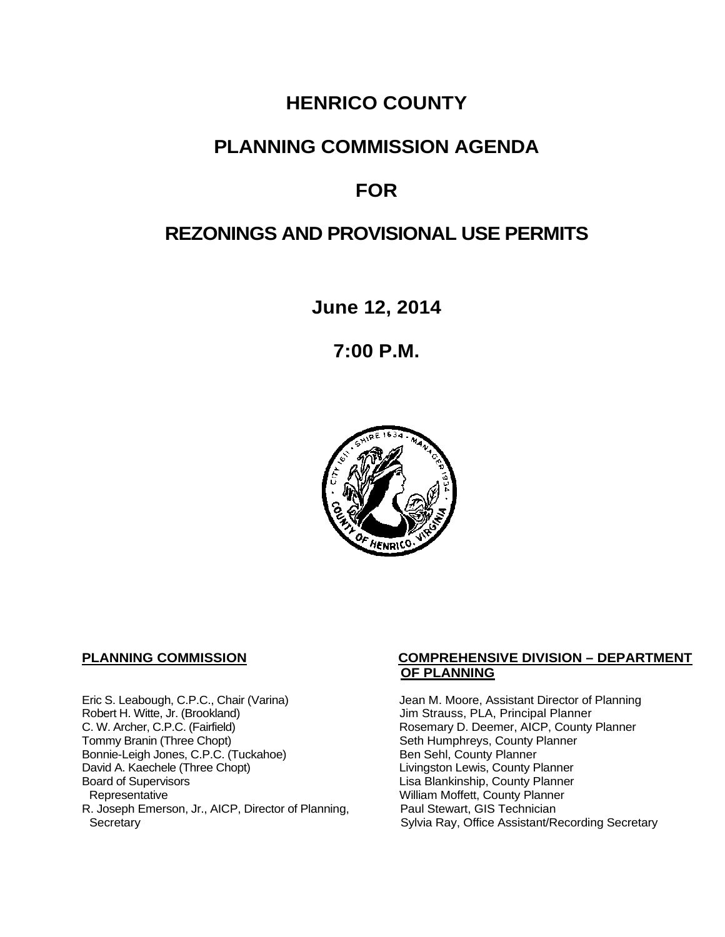# **HENRICO COUNTY**

# **PLANNING COMMISSION AGENDA**

# **FOR**

# **REZONINGS AND PROVISIONAL USE PERMITS**

**June 12, 2014**

**7:00 P.M.**



Eric S. Leabough, C.P.C., Chair (Varina) Jean M. Moore, Assistant Director of Planning<br>Robert H. Witte, Jr. (Brookland) Jim Strauss, PLA, Principal Planner Robert H. Witte, Jr. (Brookland)<br>C. W. Archer, C.P.C. (Fairfield) G. W. Archer, C.P.C. (Fairfield) C. W. Archer, C.P.C. (Fairfield) C. W. Archer, C.P.C. (Fairfield) Rosemary D. Deemer, AICP, County Planner<br>Tommy Branin (Three Chopt) Seth Humphreys, County Planner Bonnie-Leigh Jones, C.P.C. (Tuckahoe)<br>David A. Kaechele (Three Chopt) David A. Kaechele (Three Chopt) Livingston Lewis, County Planner<br>Board of Supervisors County Planner<br>Lisa Blankinship, County Planner Board of Supervisors Lisa Blankinship, County Planner R. Joseph Emerson, Jr., AICP, Director of Planning, Secretary

## **PLANNING COMMISSION COMPREHENSIVE DIVISION – DEPARTMENT OF PLANNING**

Seth Humphreys, County Planner<br>Ben Sehl, County Planner William Moffett, County Planner<br>Paul Stewart, GIS Technician Sylvia Ray, Office Assistant/Recording Secretary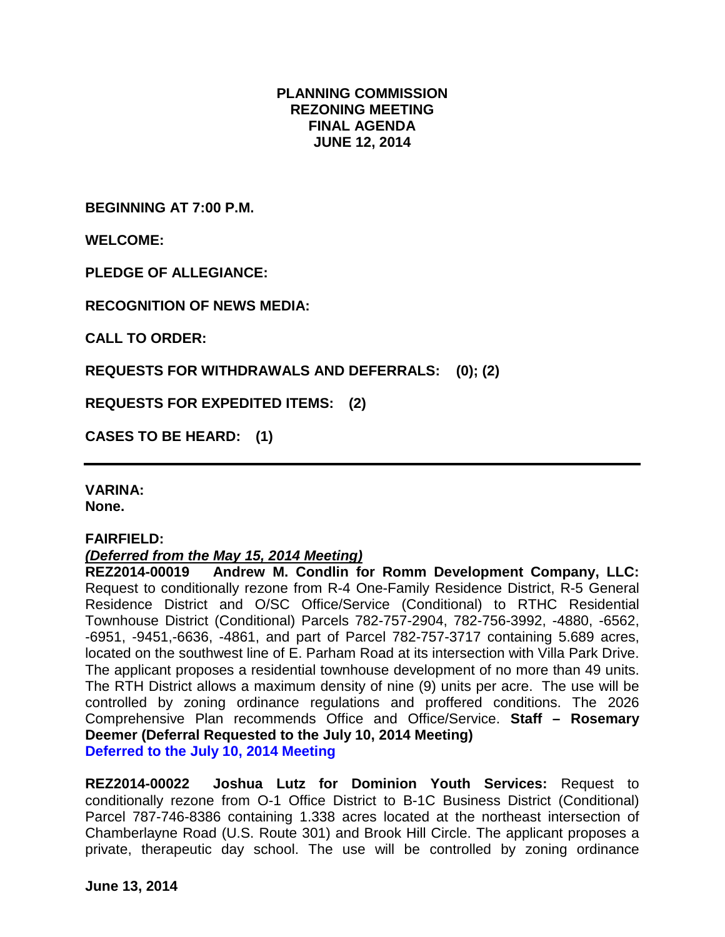## **PLANNING COMMISSION REZONING MEETING FINAL AGENDA JUNE 12, 2014**

**BEGINNING AT 7:00 P.M.**

**WELCOME:**

**PLEDGE OF ALLEGIANCE:**

**RECOGNITION OF NEWS MEDIA:**

**CALL TO ORDER:**

**REQUESTS FOR WITHDRAWALS AND DEFERRALS: (0); (2)**

**REQUESTS FOR EXPEDITED ITEMS: (2)**

**CASES TO BE HEARD: (1)**

**VARINA: None.**

### **FAIRFIELD:**

### *(Deferred from the May 15, 2014 Meeting)*

**REZ2014-00019 Andrew M. Condlin for Romm Development Company, LLC:**  Request to conditionally rezone from R-4 One-Family Residence District, R-5 General Residence District and O/SC Office/Service (Conditional) to RTHC Residential Townhouse District (Conditional) Parcels 782-757-2904, 782-756-3992, -4880, -6562, -6951, -9451,-6636, -4861, and part of Parcel 782-757-3717 containing 5.689 acres, located on the southwest line of E. Parham Road at its intersection with Villa Park Drive. The applicant proposes a residential townhouse development of no more than 49 units. The RTH District allows a maximum density of nine (9) units per acre. The use will be controlled by zoning ordinance regulations and proffered conditions. The 2026 Comprehensive Plan recommends Office and Office/Service. **Staff – Rosemary Deemer (Deferral Requested to the July 10, 2014 Meeting) Deferred to the July 10, 2014 Meeting**

**REZ2014-00022 Joshua Lutz for Dominion Youth Services:** Request to conditionally rezone from O-1 Office District to B-1C Business District (Conditional) Parcel 787-746-8386 containing 1.338 acres located at the northeast intersection of Chamberlayne Road (U.S. Route 301) and Brook Hill Circle. The applicant proposes a private, therapeutic day school. The use will be controlled by zoning ordinance